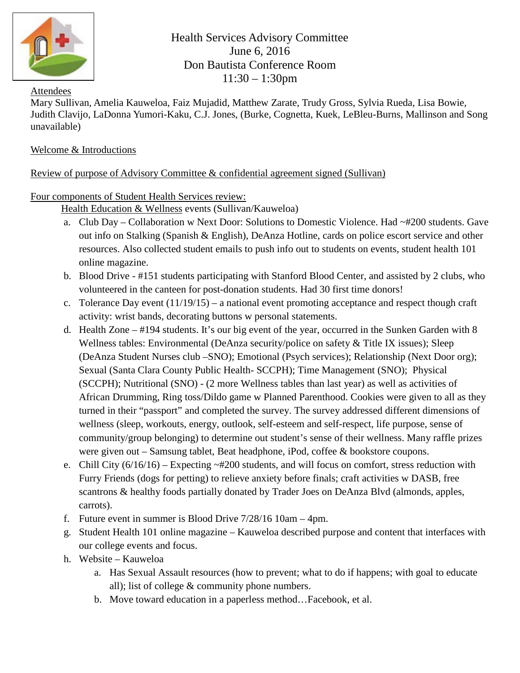

Health Services Advisory Committee June 6, 2016 Don Bautista Conference Room 11:30 – 1:30pm

#### Attendees

Mary Sullivan, Amelia Kauweloa, Faiz Mujadid, Matthew Zarate, Trudy Gross, Sylvia Rueda, Lisa Bowie, Judith Clavijo, LaDonna Yumori-Kaku, C.J. Jones, (Burke, Cognetta, Kuek, LeBleu-Burns, Mallinson and Song unavailable)

# Welcome & Introductions

# Review of purpose of Advisory Committee & confidential agreement signed (Sullivan)

## Four components of Student Health Services review:

Health Education & Wellness events (Sullivan/Kauweloa)

- a. Club Day Collaboration w Next Door: Solutions to Domestic Violence. Had ~#200 students. Gave out info on Stalking (Spanish & English), DeAnza Hotline, cards on police escort service and other resources. Also collected student emails to push info out to students on events, student health 101 online magazine.
- b. Blood Drive #151 students participating with Stanford Blood Center, and assisted by 2 clubs, who volunteered in the canteen for post-donation students. Had 30 first time donors!
- c. Tolerance Day event (11/19/15) a national event promoting acceptance and respect though craft activity: wrist bands, decorating buttons w personal statements.
- d. Health Zone #194 students. It's our big event of the year, occurred in the Sunken Garden with 8 Wellness tables: Environmental (DeAnza security/police on safety & Title IX issues); Sleep (DeAnza Student Nurses club –SNO); Emotional (Psych services); Relationship (Next Door org); Sexual (Santa Clara County Public Health- SCCPH); Time Management (SNO); Physical (SCCPH); Nutritional (SNO) - (2 more Wellness tables than last year) as well as activities of African Drumming, Ring toss/Dildo game w Planned Parenthood. Cookies were given to all as they turned in their "passport" and completed the survey. The survey addressed different dimensions of wellness (sleep, workouts, energy, outlook, self-esteem and self-respect, life purpose, sense of community/group belonging) to determine out student's sense of their wellness. Many raffle prizes were given out – Samsung tablet, Beat headphone, iPod, coffee & bookstore coupons.
- e. Chill City  $(6/16/16)$  Expecting  $\sim \#200$  students, and will focus on comfort, stress reduction with Furry Friends (dogs for petting) to relieve anxiety before finals; craft activities w DASB, free scantrons & healthy foods partially donated by Trader Joes on DeAnza Blvd (almonds, apples, carrots).
- f. Future event in summer is Blood Drive 7/28/16 10am 4pm.
- g. Student Health 101 online magazine Kauweloa described purpose and content that interfaces with our college events and focus.
- h. Website Kauweloa
	- a. Has Sexual Assault resources (how to prevent; what to do if happens; with goal to educate all); list of college & community phone numbers.
	- b. Move toward education in a paperless method…Facebook, et al.